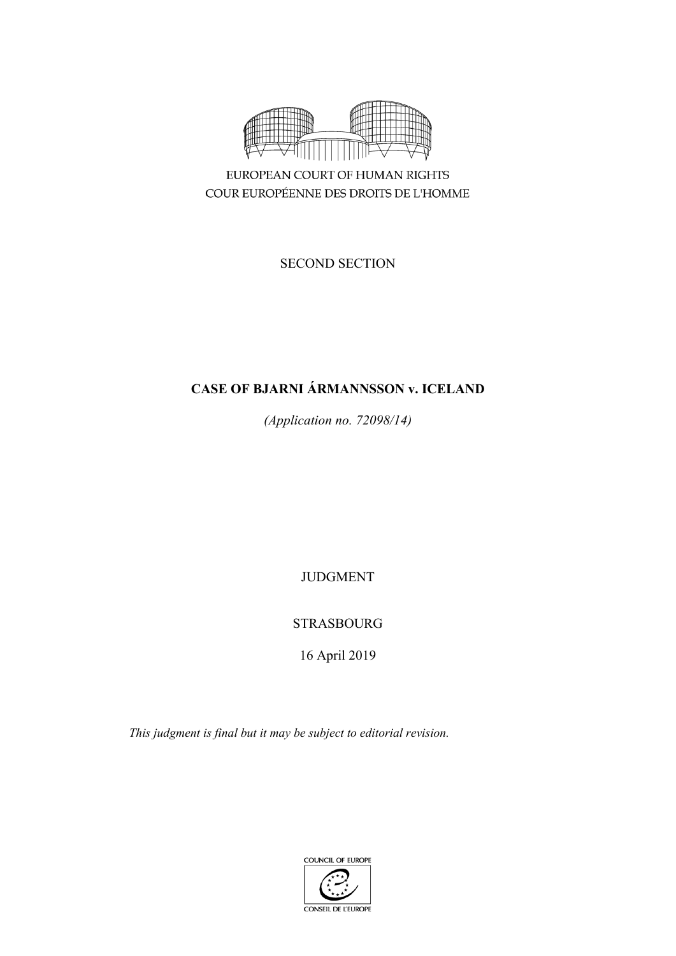

COUR EUROPÉENNE DES DROITS DE L'HOMME

SECOND SECTION

# **CASE OF BJARNI ÁRMANNSSON v. ICELAND**

*(Application no. 72098/14)*

JUDGMENT

STRASBOURG

16 April 2019

*This judgment is final but it may be subject to editorial revision.*

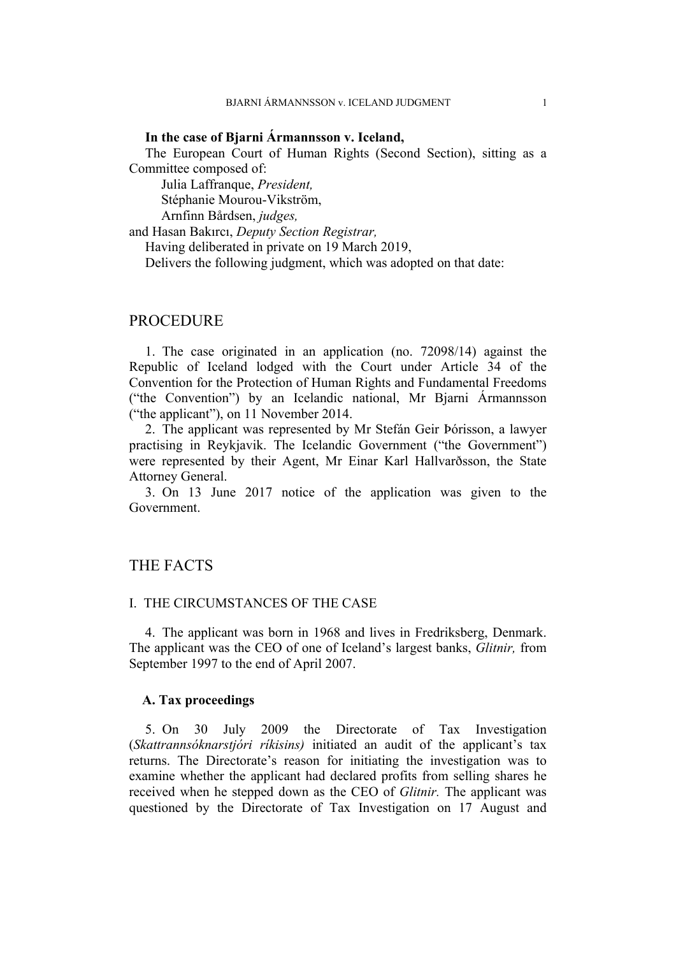#### **In the case of Bjarni Ármannsson v. Iceland,**

The European Court of Human Rights (Second Section), sitting as a Committee composed of:

Julia Laffranque, *President,*

Stéphanie Mourou-Vikström,

Arnfinn Bårdsen, *judges,*

and Hasan Bakırcı, *Deputy Section Registrar,*

Having deliberated in private on 19 March 2019,

Delivers the following judgment, which was adopted on that date:

## PROCEDURE

1. The case originated in an application (no. 72098/14) against the Republic of Iceland lodged with the Court under Article 34 of the Convention for the Protection of Human Rights and Fundamental Freedoms ("the Convention") by an Icelandic national, Mr Bjarni Ármannsson ("the applicant"), on 11 November 2014.

2. The applicant was represented by Mr Stefán Geir Þórisson, a lawyer practising in Reykjavik. The Icelandic Government ("the Government") were represented by their Agent, Mr Einar Karl Hallvarðsson, the State Attorney General.

3. On 13 June 2017 notice of the application was given to the Government.

## THE FACTS

### I. THE CIRCUMSTANCES OF THE CASE

4. The applicant was born in 1968 and lives in Fredriksberg, Denmark. The applicant was the CEO of one of Iceland's largest banks, *Glitnir,* from September 1997 to the end of April 2007.

#### **A. Tax proceedings**

5. On 30 July 2009 the Directorate of Tax Investigation (*Skattrannsóknarstjóri ríkisins)* initiated an audit of the applicant's tax returns. The Directorate's reason for initiating the investigation was to examine whether the applicant had declared profits from selling shares he received when he stepped down as the CEO of *Glitnir.* The applicant was questioned by the Directorate of Tax Investigation on 17 August and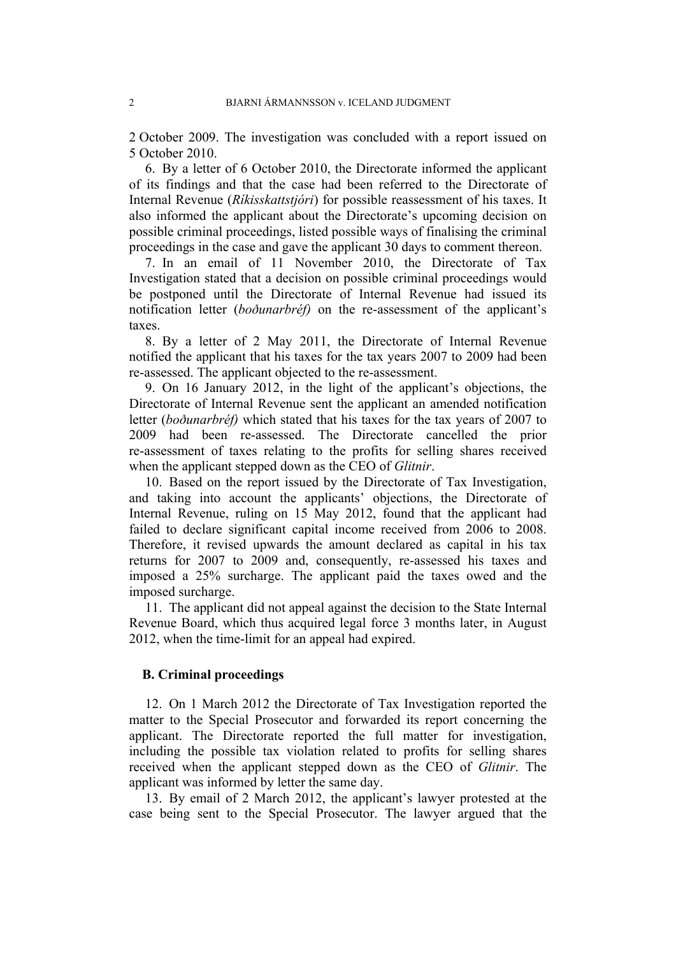2 October 2009. The investigation was concluded with a report issued on 5 October 2010.

6. By a letter of 6 October 2010, the Directorate informed the applicant of its findings and that the case had been referred to the Directorate of Internal Revenue (*Ríkisskattstjóri*) for possible reassessment of his taxes. It also informed the applicant about the Directorate's upcoming decision on possible criminal proceedings, listed possible ways of finalising the criminal proceedings in the case and gave the applicant 30 days to comment thereon.

7. In an email of 11 November 2010, the Directorate of Tax Investigation stated that a decision on possible criminal proceedings would be postponed until the Directorate of Internal Revenue had issued its notification letter (*boðunarbréf)* on the re-assessment of the applicant's taxes.

8. By a letter of 2 May 2011, the Directorate of Internal Revenue notified the applicant that his taxes for the tax years 2007 to 2009 had been re-assessed. The applicant objected to the re-assessment.

9. On 16 January 2012, in the light of the applicant's objections, the Directorate of Internal Revenue sent the applicant an amended notification letter (*boðunarbréf)* which stated that his taxes for the tax years of 2007 to 2009 had been re-assessed. The Directorate cancelled the prior re-assessment of taxes relating to the profits for selling shares received when the applicant stepped down as the CEO of *Glitnir*.

10. Based on the report issued by the Directorate of Tax Investigation, and taking into account the applicants' objections, the Directorate of Internal Revenue, ruling on 15 May 2012, found that the applicant had failed to declare significant capital income received from 2006 to 2008. Therefore, it revised upwards the amount declared as capital in his tax returns for 2007 to 2009 and, consequently, re-assessed his taxes and imposed a 25% surcharge. The applicant paid the taxes owed and the imposed surcharge.

11. The applicant did not appeal against the decision to the State Internal Revenue Board, which thus acquired legal force 3 months later, in August 2012, when the time-limit for an appeal had expired.

#### **B. Criminal proceedings**

12. On 1 March 2012 the Directorate of Tax Investigation reported the matter to the Special Prosecutor and forwarded its report concerning the applicant. The Directorate reported the full matter for investigation, including the possible tax violation related to profits for selling shares received when the applicant stepped down as the CEO of *Glitnir*. The applicant was informed by letter the same day.

13. By email of 2 March 2012, the applicant's lawyer protested at the case being sent to the Special Prosecutor. The lawyer argued that the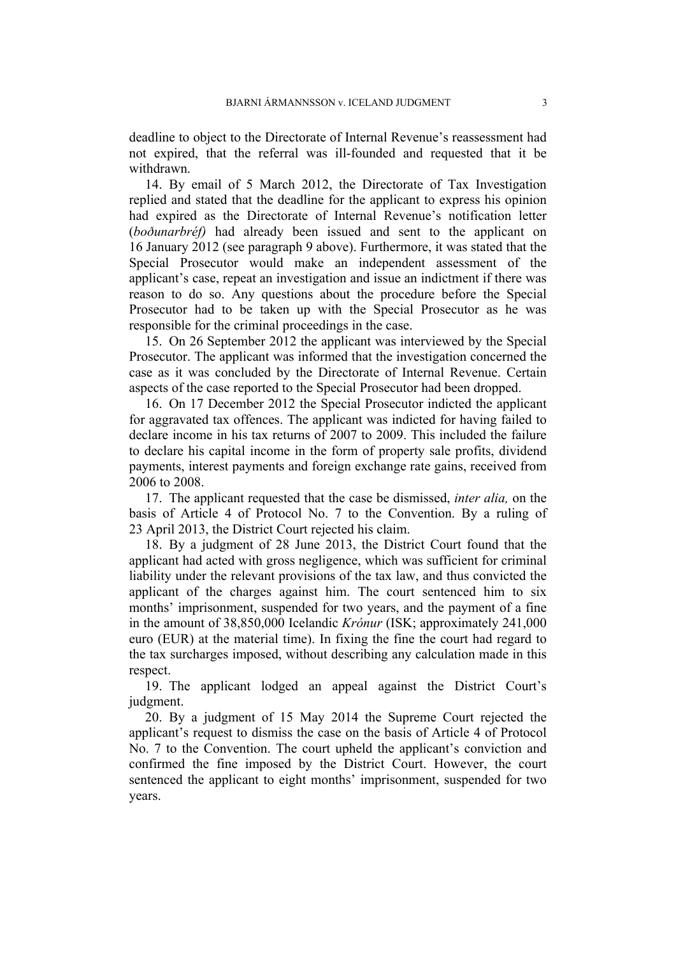deadline to object to the Directorate of Internal Revenue's reassessment had not expired, that the referral was ill-founded and requested that it be withdrawn.

14. By email of 5 March 2012, the Directorate of Tax Investigation replied and stated that the deadline for the applicant to express his opinion had expired as the Directorate of Internal Revenue's notification letter (*boðunarbréf)* had already been issued and sent to the applicant on 16 January 2012 (see paragraph 9 above). Furthermore, it was stated that the Special Prosecutor would make an independent assessment of the applicant's case, repeat an investigation and issue an indictment if there was reason to do so. Any questions about the procedure before the Special Prosecutor had to be taken up with the Special Prosecutor as he was responsible for the criminal proceedings in the case.

15. On 26 September 2012 the applicant was interviewed by the Special Prosecutor. The applicant was informed that the investigation concerned the case as it was concluded by the Directorate of Internal Revenue. Certain aspects of the case reported to the Special Prosecutor had been dropped.

16. On 17 December 2012 the Special Prosecutor indicted the applicant for aggravated tax offences. The applicant was indicted for having failed to declare income in his tax returns of 2007 to 2009. This included the failure to declare his capital income in the form of property sale profits, dividend payments, interest payments and foreign exchange rate gains, received from 2006 to 2008.

17. The applicant requested that the case be dismissed, *inter alia,* on the basis of Article 4 of Protocol No. 7 to the Convention. By a ruling of 23 April 2013, the District Court rejected his claim.

18. By a judgment of 28 June 2013, the District Court found that the applicant had acted with gross negligence, which was sufficient for criminal liability under the relevant provisions of the tax law, and thus convicted the applicant of the charges against him. The court sentenced him to six months' imprisonment, suspended for two years, and the payment of a fine in the amount of 38,850,000 Icelandic *Krónur* (ISK; approximately 241,000 euro (EUR) at the material time). In fixing the fine the court had regard to the tax surcharges imposed, without describing any calculation made in this respect.

19. The applicant lodged an appeal against the District Court's judgment.

20. By a judgment of 15 May 2014 the Supreme Court rejected the applicant's request to dismiss the case on the basis of Article 4 of Protocol No. 7 to the Convention. The court upheld the applicant's conviction and confirmed the fine imposed by the District Court. However, the court sentenced the applicant to eight months' imprisonment, suspended for two years.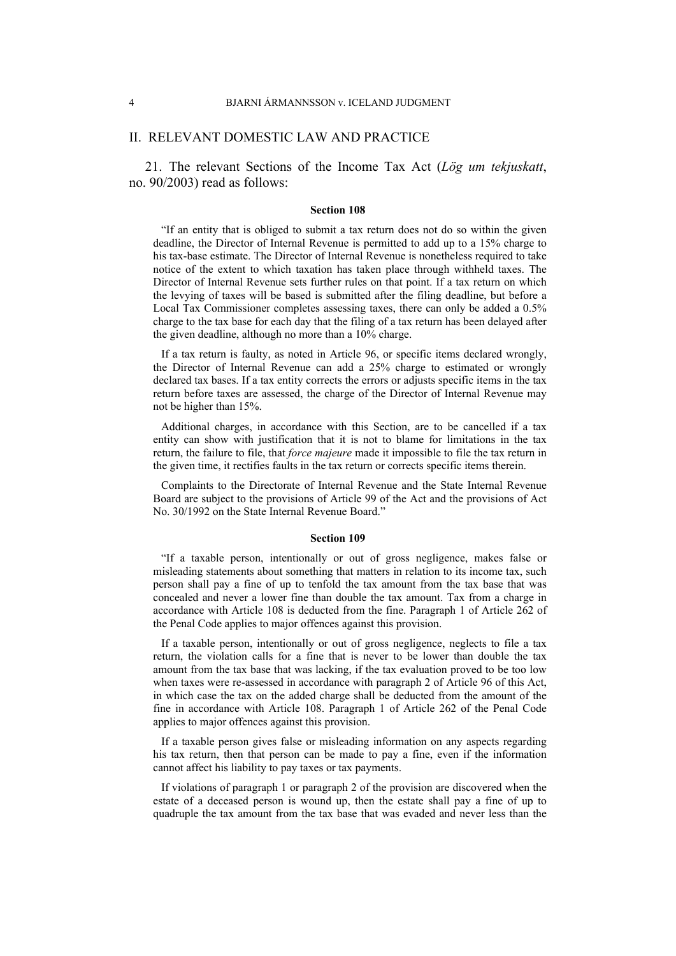#### II. RELEVANT DOMESTIC LAW AND PRACTICE

21. The relevant Sections of the Income Tax Act (*Lög um tekjuskatt*, no. 90/2003) read as follows:

#### **Section 108**

"If an entity that is obliged to submit a tax return does not do so within the given deadline, the Director of Internal Revenue is permitted to add up to a 15% charge to his tax-base estimate. The Director of Internal Revenue is nonetheless required to take notice of the extent to which taxation has taken place through withheld taxes. The Director of Internal Revenue sets further rules on that point. If a tax return on which the levying of taxes will be based is submitted after the filing deadline, but before a Local Tax Commissioner completes assessing taxes, there can only be added a 0.5% charge to the tax base for each day that the filing of a tax return has been delayed after the given deadline, although no more than a 10% charge.

If a tax return is faulty, as noted in Article 96, or specific items declared wrongly, the Director of Internal Revenue can add a 25% charge to estimated or wrongly declared tax bases. If a tax entity corrects the errors or adjusts specific items in the tax return before taxes are assessed, the charge of the Director of Internal Revenue may not be higher than 15%.

Additional charges, in accordance with this Section, are to be cancelled if a tax entity can show with justification that it is not to blame for limitations in the tax return, the failure to file, that *force majeure* made it impossible to file the tax return in the given time, it rectifies faults in the tax return or corrects specific items therein.

Complaints to the Directorate of Internal Revenue and the State Internal Revenue Board are subject to the provisions of Article 99 of the Act and the provisions of Act No. 30/1992 on the State Internal Revenue Board."

#### **Section 109**

"If a taxable person, intentionally or out of gross negligence, makes false or misleading statements about something that matters in relation to its income tax, such person shall pay a fine of up to tenfold the tax amount from the tax base that was concealed and never a lower fine than double the tax amount. Tax from a charge in accordance with Article 108 is deducted from the fine. Paragraph 1 of Article 262 of the Penal Code applies to major offences against this provision.

If a taxable person, intentionally or out of gross negligence, neglects to file a tax return, the violation calls for a fine that is never to be lower than double the tax amount from the tax base that was lacking, if the tax evaluation proved to be too low when taxes were re-assessed in accordance with paragraph 2 of Article 96 of this Act, in which case the tax on the added charge shall be deducted from the amount of the fine in accordance with Article 108. Paragraph 1 of Article 262 of the Penal Code applies to major offences against this provision.

If a taxable person gives false or misleading information on any aspects regarding his tax return, then that person can be made to pay a fine, even if the information cannot affect his liability to pay taxes or tax payments.

If violations of paragraph 1 or paragraph 2 of the provision are discovered when the estate of a deceased person is wound up, then the estate shall pay a fine of up to quadruple the tax amount from the tax base that was evaded and never less than the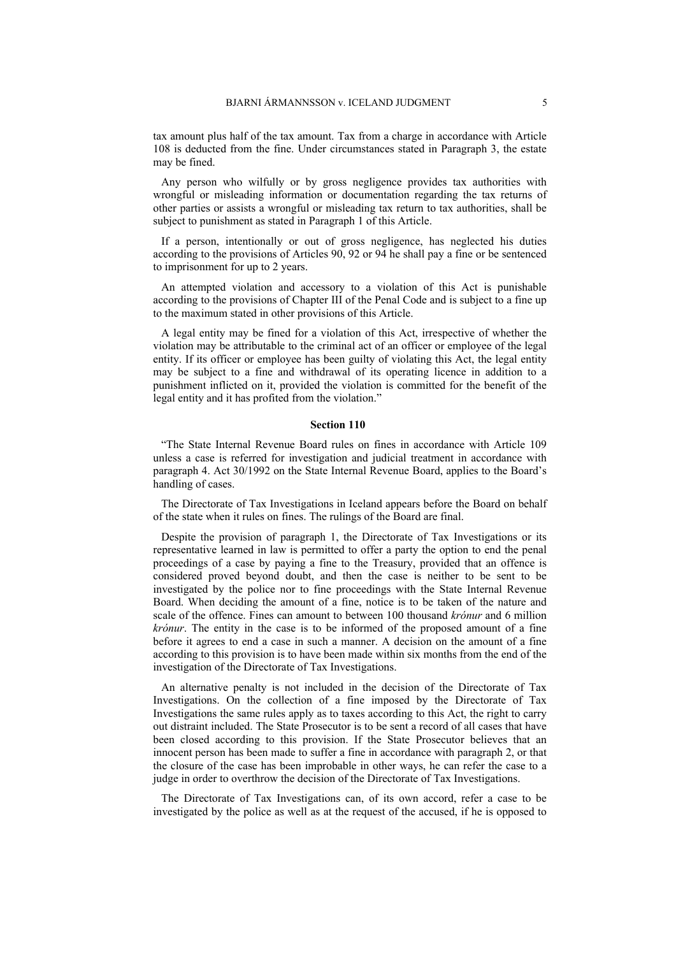tax amount plus half of the tax amount. Tax from a charge in accordance with Article 108 is deducted from the fine. Under circumstances stated in Paragraph 3, the estate may be fined.

Any person who wilfully or by gross negligence provides tax authorities with wrongful or misleading information or documentation regarding the tax returns of other parties or assists a wrongful or misleading tax return to tax authorities, shall be subject to punishment as stated in Paragraph 1 of this Article.

If a person, intentionally or out of gross negligence, has neglected his duties according to the provisions of Articles 90, 92 or 94 he shall pay a fine or be sentenced to imprisonment for up to 2 years.

An attempted violation and accessory to a violation of this Act is punishable according to the provisions of Chapter III of the Penal Code and is subject to a fine up to the maximum stated in other provisions of this Article.

A legal entity may be fined for a violation of this Act, irrespective of whether the violation may be attributable to the criminal act of an officer or employee of the legal entity. If its officer or employee has been guilty of violating this Act, the legal entity may be subject to a fine and withdrawal of its operating licence in addition to a punishment inflicted on it, provided the violation is committed for the benefit of the legal entity and it has profited from the violation."

#### **Section 110**

"The State Internal Revenue Board rules on fines in accordance with Article 109 unless a case is referred for investigation and judicial treatment in accordance with paragraph 4. Act 30/1992 on the State Internal Revenue Board, applies to the Board's handling of cases.

The Directorate of Tax Investigations in Iceland appears before the Board on behalf of the state when it rules on fines. The rulings of the Board are final.

Despite the provision of paragraph 1, the Directorate of Tax Investigations or its representative learned in law is permitted to offer a party the option to end the penal proceedings of a case by paying a fine to the Treasury, provided that an offence is considered proved beyond doubt, and then the case is neither to be sent to be investigated by the police nor to fine proceedings with the State Internal Revenue Board. When deciding the amount of a fine, notice is to be taken of the nature and scale of the offence. Fines can amount to between 100 thousand *krónur* and 6 million *krónur*. The entity in the case is to be informed of the proposed amount of a fine before it agrees to end a case in such a manner. A decision on the amount of a fine according to this provision is to have been made within six months from the end of the investigation of the Directorate of Tax Investigations.

An alternative penalty is not included in the decision of the Directorate of Tax Investigations. On the collection of a fine imposed by the Directorate of Tax Investigations the same rules apply as to taxes according to this Act, the right to carry out distraint included. The State Prosecutor is to be sent a record of all cases that have been closed according to this provision. If the State Prosecutor believes that an innocent person has been made to suffer a fine in accordance with paragraph 2, or that the closure of the case has been improbable in other ways, he can refer the case to a judge in order to overthrow the decision of the Directorate of Tax Investigations.

The Directorate of Tax Investigations can, of its own accord, refer a case to be investigated by the police as well as at the request of the accused, if he is opposed to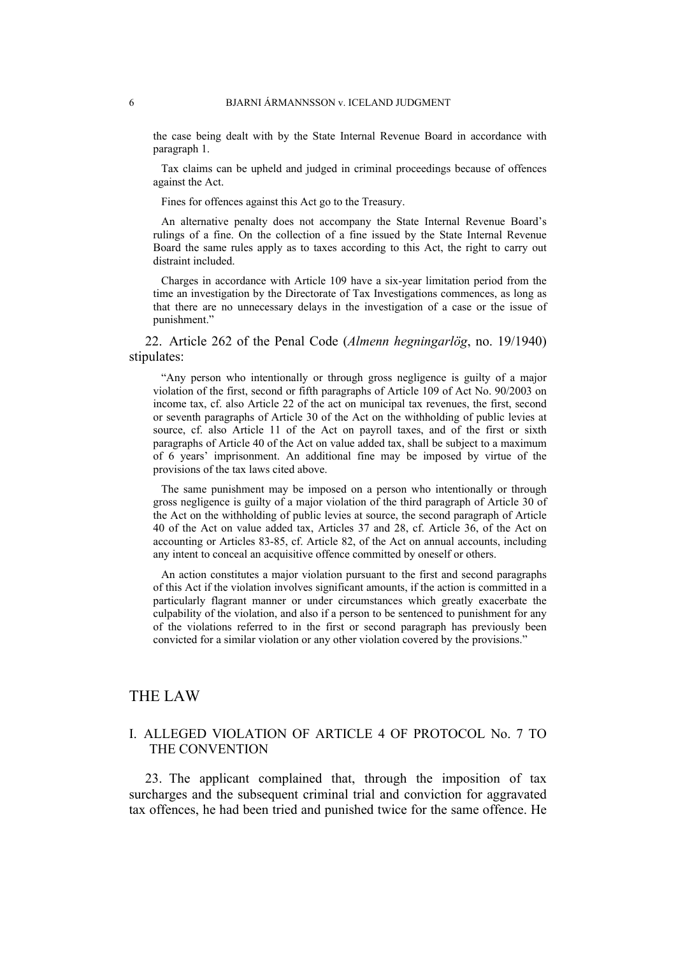the case being dealt with by the State Internal Revenue Board in accordance with paragraph 1.

Tax claims can be upheld and judged in criminal proceedings because of offences against the Act.

Fines for offences against this Act go to the Treasury.

An alternative penalty does not accompany the State Internal Revenue Board's rulings of a fine. On the collection of a fine issued by the State Internal Revenue Board the same rules apply as to taxes according to this Act, the right to carry out distraint included.

Charges in accordance with Article 109 have a six-year limitation period from the time an investigation by the Directorate of Tax Investigations commences, as long as that there are no unnecessary delays in the investigation of a case or the issue of punishment."

22. Article 262 of the Penal Code (*Almenn hegningarlög*, no. 19/1940) stipulates:

"Any person who intentionally or through gross negligence is guilty of a major violation of the first, second or fifth paragraphs of Article 109 of Act No. 90/2003 on income tax, cf. also Article 22 of the act on municipal tax revenues, the first, second or seventh paragraphs of Article 30 of the Act on the withholding of public levies at source, cf. also Article 11 of the Act on payroll taxes, and of the first or sixth paragraphs of Article 40 of the Act on value added tax, shall be subject to a maximum of 6 years' imprisonment. An additional fine may be imposed by virtue of the provisions of the tax laws cited above.

The same punishment may be imposed on a person who intentionally or through gross negligence is guilty of a major violation of the third paragraph of Article 30 of the Act on the withholding of public levies at source, the second paragraph of Article 40 of the Act on value added tax, Articles 37 and 28, cf. Article 36, of the Act on accounting or Articles 83-85, cf. Article 82, of the Act on annual accounts, including any intent to conceal an acquisitive offence committed by oneself or others.

An action constitutes a major violation pursuant to the first and second paragraphs of this Act if the violation involves significant amounts, if the action is committed in a particularly flagrant manner or under circumstances which greatly exacerbate the culpability of the violation, and also if a person to be sentenced to punishment for any of the violations referred to in the first or second paragraph has previously been convicted for a similar violation or any other violation covered by the provisions."

## THE LAW

## I. ALLEGED VIOLATION OF ARTICLE 4 OF PROTOCOL No. 7 TO THE CONVENTION

23. The applicant complained that, through the imposition of tax surcharges and the subsequent criminal trial and conviction for aggravated tax offences, he had been tried and punished twice for the same offence. He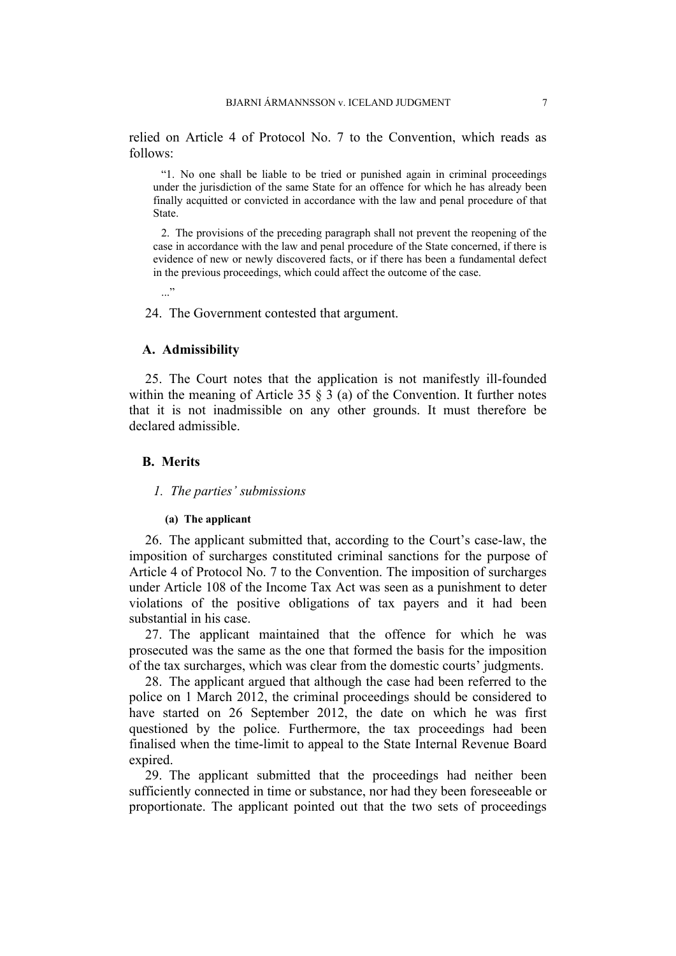relied on Article 4 of Protocol No. 7 to the Convention, which reads as follows:

"1. No one shall be liable to be tried or punished again in criminal proceedings under the jurisdiction of the same State for an offence for which he has already been finally acquitted or convicted in accordance with the law and penal procedure of that State.

2. The provisions of the preceding paragraph shall not prevent the reopening of the case in accordance with the law and penal procedure of the State concerned, if there is evidence of new or newly discovered facts, or if there has been a fundamental defect in the previous proceedings, which could affect the outcome of the case.

24. The Government contested that argument.

#### **A. Admissibility**

..."

25. The Court notes that the application is not manifestly ill-founded within the meaning of Article 35  $\S$  3 (a) of the Convention. It further notes that it is not inadmissible on any other grounds. It must therefore be declared admissible.

### **B. Merits**

### *1. The parties' submissions*

#### **(a) The applicant**

26. The applicant submitted that, according to the Court's case-law, the imposition of surcharges constituted criminal sanctions for the purpose of Article 4 of Protocol No. 7 to the Convention. The imposition of surcharges under Article 108 of the Income Tax Act was seen as a punishment to deter violations of the positive obligations of tax payers and it had been substantial in his case.

27. The applicant maintained that the offence for which he was prosecuted was the same as the one that formed the basis for the imposition of the tax surcharges, which was clear from the domestic courts' judgments.

28. The applicant argued that although the case had been referred to the police on 1 March 2012, the criminal proceedings should be considered to have started on 26 September 2012, the date on which he was first questioned by the police. Furthermore, the tax proceedings had been finalised when the time-limit to appeal to the State Internal Revenue Board expired.

29. The applicant submitted that the proceedings had neither been sufficiently connected in time or substance, nor had they been foreseeable or proportionate. The applicant pointed out that the two sets of proceedings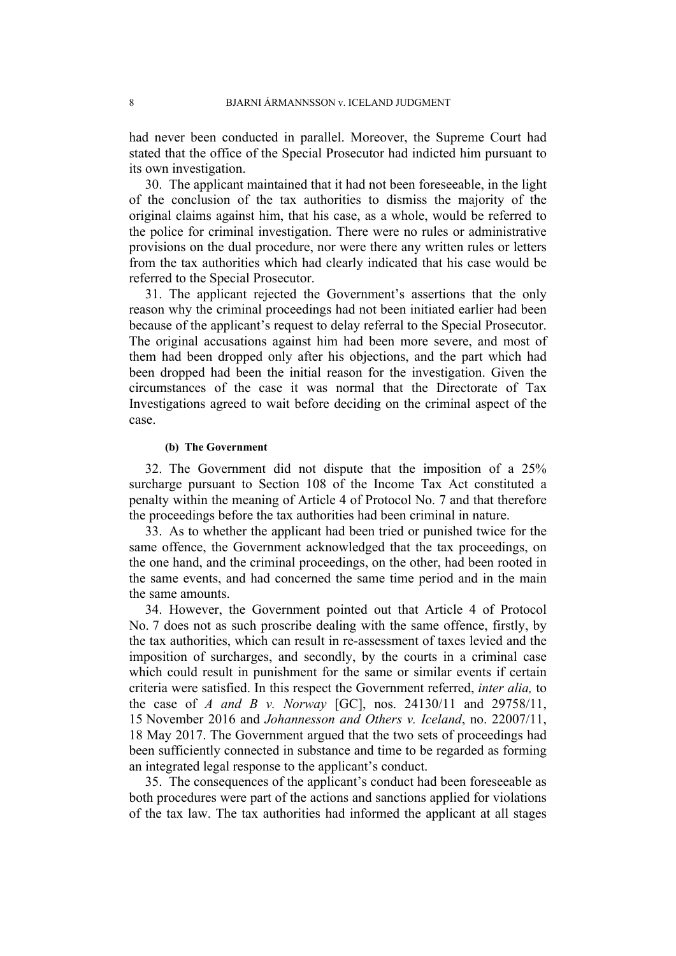had never been conducted in parallel. Moreover, the Supreme Court had stated that the office of the Special Prosecutor had indicted him pursuant to its own investigation.

30. The applicant maintained that it had not been foreseeable, in the light of the conclusion of the tax authorities to dismiss the majority of the original claims against him, that his case, as a whole, would be referred to the police for criminal investigation. There were no rules or administrative provisions on the dual procedure, nor were there any written rules or letters from the tax authorities which had clearly indicated that his case would be referred to the Special Prosecutor.

31. The applicant rejected the Government's assertions that the only reason why the criminal proceedings had not been initiated earlier had been because of the applicant's request to delay referral to the Special Prosecutor. The original accusations against him had been more severe, and most of them had been dropped only after his objections, and the part which had been dropped had been the initial reason for the investigation. Given the circumstances of the case it was normal that the Directorate of Tax Investigations agreed to wait before deciding on the criminal aspect of the case.

#### **(b) The Government**

32. The Government did not dispute that the imposition of a 25% surcharge pursuant to Section 108 of the Income Tax Act constituted a penalty within the meaning of Article 4 of Protocol No. 7 and that therefore the proceedings before the tax authorities had been criminal in nature.

33. As to whether the applicant had been tried or punished twice for the same offence, the Government acknowledged that the tax proceedings, on the one hand, and the criminal proceedings, on the other, had been rooted in the same events, and had concerned the same time period and in the main the same amounts.

34. However, the Government pointed out that Article 4 of Protocol No. 7 does not as such proscribe dealing with the same offence, firstly, by the tax authorities, which can result in re-assessment of taxes levied and the imposition of surcharges, and secondly, by the courts in a criminal case which could result in punishment for the same or similar events if certain criteria were satisfied. In this respect the Government referred, *inter alia,* to the case of *A and B v. Norway* [GC], nos. 24130/11 and 29758/11, 15 November 2016 and *Johannesson and Others v. Iceland*, no. 22007/11, 18 May 2017. The Government argued that the two sets of proceedings had been sufficiently connected in substance and time to be regarded as forming an integrated legal response to the applicant's conduct.

35. The consequences of the applicant's conduct had been foreseeable as both procedures were part of the actions and sanctions applied for violations of the tax law. The tax authorities had informed the applicant at all stages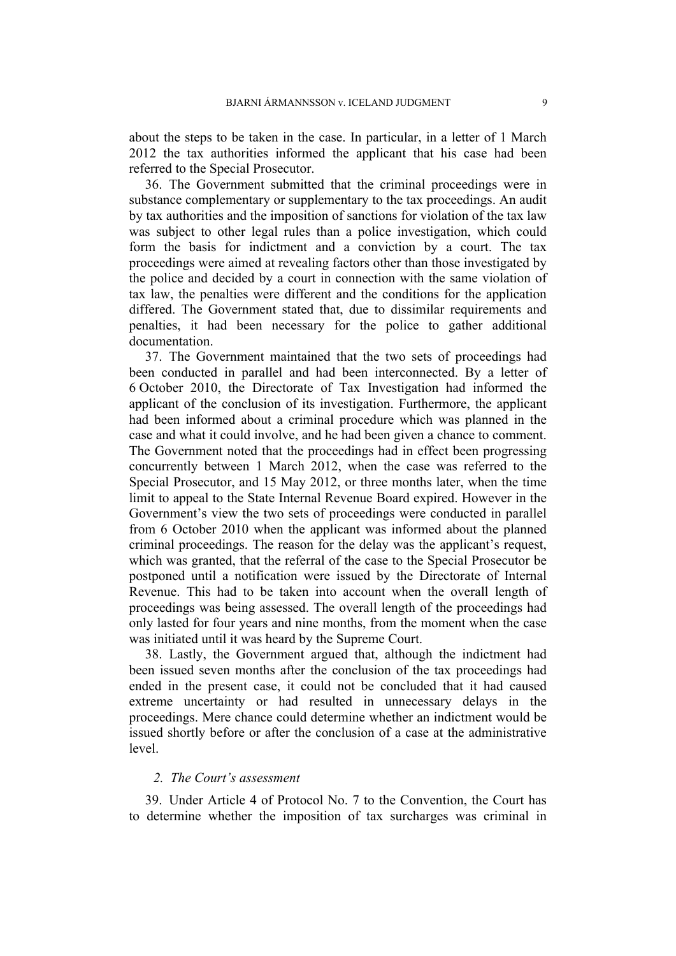about the steps to be taken in the case. In particular, in a letter of 1 March 2012 the tax authorities informed the applicant that his case had been referred to the Special Prosecutor.

36. The Government submitted that the criminal proceedings were in substance complementary or supplementary to the tax proceedings. An audit by tax authorities and the imposition of sanctions for violation of the tax law was subject to other legal rules than a police investigation, which could form the basis for indictment and a conviction by a court. The tax proceedings were aimed at revealing factors other than those investigated by the police and decided by a court in connection with the same violation of tax law, the penalties were different and the conditions for the application differed. The Government stated that, due to dissimilar requirements and penalties, it had been necessary for the police to gather additional documentation.

37. The Government maintained that the two sets of proceedings had been conducted in parallel and had been interconnected. By a letter of 6 October 2010, the Directorate of Tax Investigation had informed the applicant of the conclusion of its investigation. Furthermore, the applicant had been informed about a criminal procedure which was planned in the case and what it could involve, and he had been given a chance to comment. The Government noted that the proceedings had in effect been progressing concurrently between 1 March 2012, when the case was referred to the Special Prosecutor, and 15 May 2012, or three months later, when the time limit to appeal to the State Internal Revenue Board expired. However in the Government's view the two sets of proceedings were conducted in parallel from 6 October 2010 when the applicant was informed about the planned criminal proceedings. The reason for the delay was the applicant's request, which was granted, that the referral of the case to the Special Prosecutor be postponed until a notification were issued by the Directorate of Internal Revenue. This had to be taken into account when the overall length of proceedings was being assessed. The overall length of the proceedings had only lasted for four years and nine months, from the moment when the case was initiated until it was heard by the Supreme Court.

38. Lastly, the Government argued that, although the indictment had been issued seven months after the conclusion of the tax proceedings had ended in the present case, it could not be concluded that it had caused extreme uncertainty or had resulted in unnecessary delays in the proceedings. Mere chance could determine whether an indictment would be issued shortly before or after the conclusion of a case at the administrative level.

### *2. The Court's assessment*

39. Under Article 4 of Protocol No. 7 to the Convention, the Court has to determine whether the imposition of tax surcharges was criminal in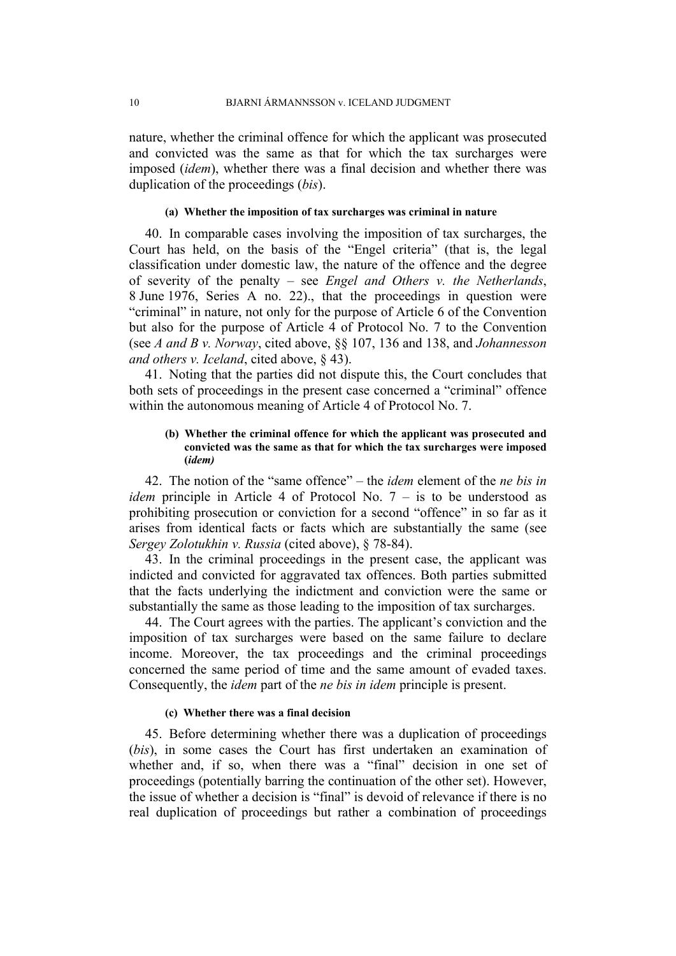nature, whether the criminal offence for which the applicant was prosecuted and convicted was the same as that for which the tax surcharges were imposed (*idem*), whether there was a final decision and whether there was duplication of the proceedings (*bis*).

#### **(a) Whether the imposition of tax surcharges was criminal in nature**

40. In comparable cases involving the imposition of tax surcharges, the Court has held, on the basis of the "Engel criteria" (that is, the legal classification under domestic law, the nature of the offence and the degree of severity of the penalty – see *Engel and Others v. the Netherlands*, 8 June 1976, Series A no. 22)., that the proceedings in question were "criminal" in nature, not only for the purpose of Article 6 of the Convention but also for the purpose of Article 4 of Protocol No. 7 to the Convention (see *A and B v. Norway*, cited above, §§ 107, 136 and 138, and *Johannesson and others v. Iceland*, cited above, § 43).

41. Noting that the parties did not dispute this, the Court concludes that both sets of proceedings in the present case concerned a "criminal" offence within the autonomous meaning of Article 4 of Protocol No. 7.

#### **(b) Whether the criminal offence for which the applicant was prosecuted and convicted was the same as that for which the tax surcharges were imposed (***idem)*

42. The notion of the "same offence" – the *idem* element of the *ne bis in idem* principle in Article 4 of Protocol No. 7 – is to be understood as prohibiting prosecution or conviction for a second "offence" in so far as it arises from identical facts or facts which are substantially the same (see *Sergey Zolotukhin v. Russia* (cited above), § 78-84).

43. In the criminal proceedings in the present case, the applicant was indicted and convicted for aggravated tax offences. Both parties submitted that the facts underlying the indictment and conviction were the same or substantially the same as those leading to the imposition of tax surcharges.

44. The Court agrees with the parties. The applicant's conviction and the imposition of tax surcharges were based on the same failure to declare income. Moreover, the tax proceedings and the criminal proceedings concerned the same period of time and the same amount of evaded taxes. Consequently, the *idem* part of the *ne bis in idem* principle is present.

#### **(c) Whether there was a final decision**

45. Before determining whether there was a duplication of proceedings (*bis*), in some cases the Court has first undertaken an examination of whether and, if so, when there was a "final" decision in one set of proceedings (potentially barring the continuation of the other set). However, the issue of whether a decision is "final" is devoid of relevance if there is no real duplication of proceedings but rather a combination of proceedings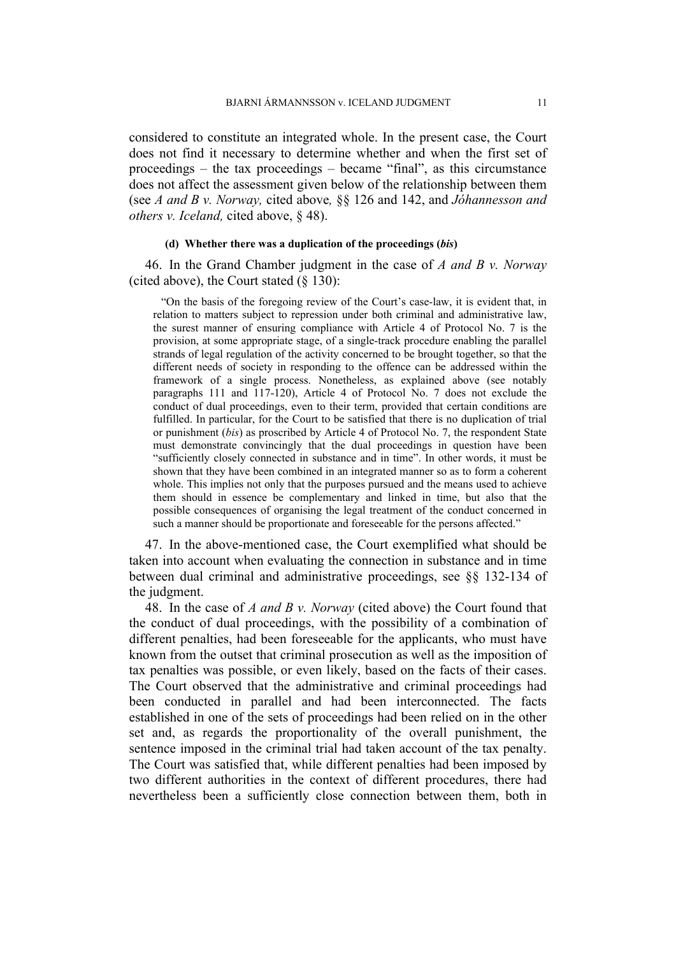considered to constitute an integrated whole. In the present case, the Court does not find it necessary to determine whether and when the first set of proceedings – the tax proceedings – became "final", as this circumstance does not affect the assessment given below of the relationship between them (see *A and B v. Norway,* cited above*,* §§ 126 and 142, and *Jóhannesson and others v. Iceland,* cited above, § 48).

#### **(d) Whether there was a duplication of the proceedings (***bis***)**

46. In the Grand Chamber judgment in the case of *A and B v. Norway* (cited above), the Court stated  $(\S 130)$ :

"On the basis of the foregoing review of the Court's case-law, it is evident that, in relation to matters subject to repression under both criminal and administrative law, the surest manner of ensuring compliance with Article 4 of Protocol No. 7 is the provision, at some appropriate stage, of a single-track procedure enabling the parallel strands of legal regulation of the activity concerned to be brought together, so that the different needs of society in responding to the offence can be addressed within the framework of a single process. Nonetheless, as explained above (see notably paragraphs 111 and 117-120), Article 4 of Protocol No. 7 does not exclude the conduct of dual proceedings, even to their term, provided that certain conditions are fulfilled. In particular, for the Court to be satisfied that there is no duplication of trial or punishment (*bis*) as proscribed by Article 4 of Protocol No. 7, the respondent State must demonstrate convincingly that the dual proceedings in question have been "sufficiently closely connected in substance and in time". In other words, it must be shown that they have been combined in an integrated manner so as to form a coherent whole. This implies not only that the purposes pursued and the means used to achieve them should in essence be complementary and linked in time, but also that the possible consequences of organising the legal treatment of the conduct concerned in such a manner should be proportionate and foreseeable for the persons affected."

47. In the above-mentioned case, the Court exemplified what should be taken into account when evaluating the connection in substance and in time between dual criminal and administrative proceedings, see §§ 132-134 of the judgment.

48. In the case of *A and B v. Norway* (cited above) the Court found that the conduct of dual proceedings, with the possibility of a combination of different penalties, had been foreseeable for the applicants, who must have known from the outset that criminal prosecution as well as the imposition of tax penalties was possible, or even likely, based on the facts of their cases. The Court observed that the administrative and criminal proceedings had been conducted in parallel and had been interconnected. The facts established in one of the sets of proceedings had been relied on in the other set and, as regards the proportionality of the overall punishment, the sentence imposed in the criminal trial had taken account of the tax penalty. The Court was satisfied that, while different penalties had been imposed by two different authorities in the context of different procedures, there had nevertheless been a sufficiently close connection between them, both in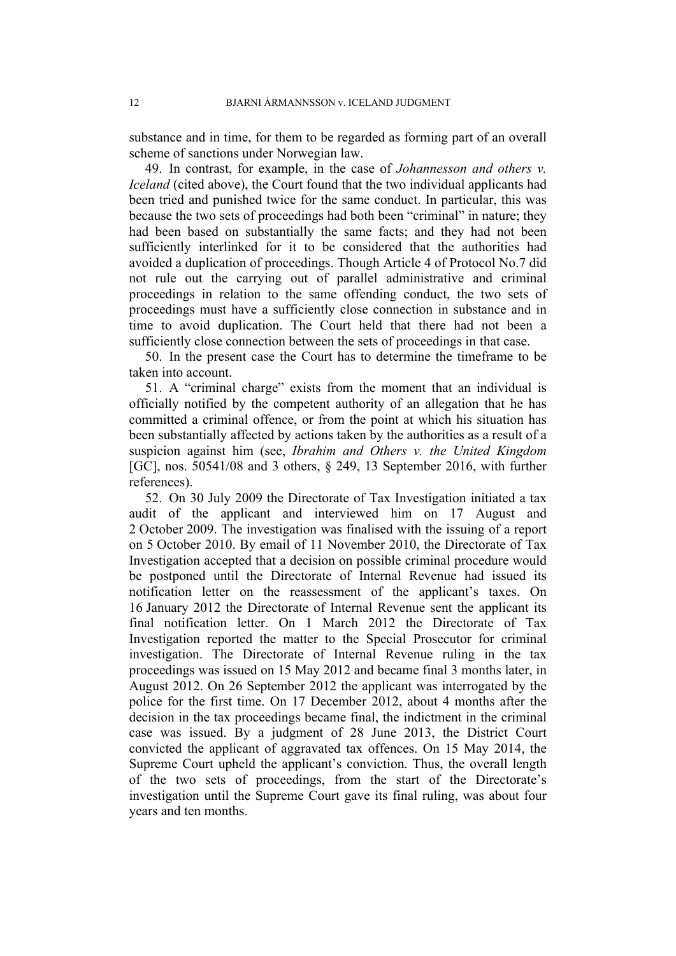substance and in time, for them to be regarded as forming part of an overall scheme of sanctions under Norwegian law.

49. In contrast, for example, in the case of *Johannesson and others v. Iceland* (cited above), the Court found that the two individual applicants had been tried and punished twice for the same conduct. In particular, this was because the two sets of proceedings had both been "criminal" in nature; they had been based on substantially the same facts; and they had not been sufficiently interlinked for it to be considered that the authorities had avoided a duplication of proceedings. Though Article 4 of Protocol No.7 did not rule out the carrying out of parallel administrative and criminal proceedings in relation to the same offending conduct, the two sets of proceedings must have a sufficiently close connection in substance and in time to avoid duplication. The Court held that there had not been a sufficiently close connection between the sets of proceedings in that case.

50. In the present case the Court has to determine the timeframe to be taken into account.

51. A "criminal charge" exists from the moment that an individual is officially notified by the competent authority of an allegation that he has committed a criminal offence, or from the point at which his situation has been substantially affected by actions taken by the authorities as a result of a suspicion against him (see, *Ibrahim and Others v. the United Kingdom* [GC], nos. 50541/08 and 3 others, § 249, 13 September 2016, with further references).

52. On 30 July 2009 the Directorate of Tax Investigation initiated a tax audit of the applicant and interviewed him on 17 August and 2 October 2009. The investigation was finalised with the issuing of a report on 5 October 2010. By email of 11 November 2010, the Directorate of Tax Investigation accepted that a decision on possible criminal procedure would be postponed until the Directorate of Internal Revenue had issued its notification letter on the reassessment of the applicant's taxes. On 16 January 2012 the Directorate of Internal Revenue sent the applicant its final notification letter. On 1 March 2012 the Directorate of Tax Investigation reported the matter to the Special Prosecutor for criminal investigation. The Directorate of Internal Revenue ruling in the tax proceedings was issued on 15 May 2012 and became final 3 months later, in August 2012. On 26 September 2012 the applicant was interrogated by the police for the first time. On 17 December 2012, about 4 months after the decision in the tax proceedings became final, the indictment in the criminal case was issued. By a judgment of 28 June 2013, the District Court convicted the applicant of aggravated tax offences. On 15 May 2014, the Supreme Court upheld the applicant's conviction. Thus, the overall length of the two sets of proceedings, from the start of the Directorate's investigation until the Supreme Court gave its final ruling, was about four years and ten months.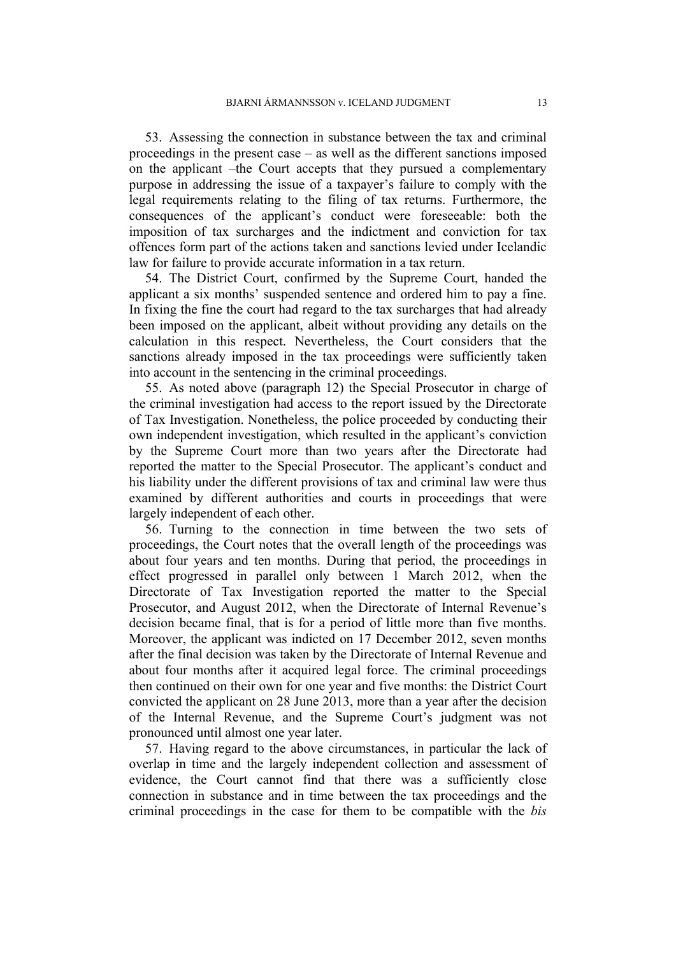53. Assessing the connection in substance between the tax and criminal proceedings in the present case – as well as the different sanctions imposed on the applicant –the Court accepts that they pursued a complementary purpose in addressing the issue of a taxpayer's failure to comply with the legal requirements relating to the filing of tax returns. Furthermore, the consequences of the applicant's conduct were foreseeable: both the imposition of tax surcharges and the indictment and conviction for tax offences form part of the actions taken and sanctions levied under Icelandic law for failure to provide accurate information in a tax return.

54. The District Court, confirmed by the Supreme Court, handed the applicant a six months' suspended sentence and ordered him to pay a fine. In fixing the fine the court had regard to the tax surcharges that had already been imposed on the applicant, albeit without providing any details on the calculation in this respect. Nevertheless, the Court considers that the sanctions already imposed in the tax proceedings were sufficiently taken into account in the sentencing in the criminal proceedings.

55. As noted above (paragraph 12) the Special Prosecutor in charge of the criminal investigation had access to the report issued by the Directorate of Tax Investigation. Nonetheless, the police proceeded by conducting their own independent investigation, which resulted in the applicant's conviction by the Supreme Court more than two years after the Directorate had reported the matter to the Special Prosecutor. The applicant's conduct and his liability under the different provisions of tax and criminal law were thus examined by different authorities and courts in proceedings that were largely independent of each other.

56. Turning to the connection in time between the two sets of proceedings, the Court notes that the overall length of the proceedings was about four years and ten months. During that period, the proceedings in effect progressed in parallel only between 1 March 2012, when the Directorate of Tax Investigation reported the matter to the Special Prosecutor, and August 2012, when the Directorate of Internal Revenue's decision became final, that is for a period of little more than five months. Moreover, the applicant was indicted on 17 December 2012, seven months after the final decision was taken by the Directorate of Internal Revenue and about four months after it acquired legal force. The criminal proceedings then continued on their own for one year and five months: the District Court convicted the applicant on 28 June 2013, more than a year after the decision of the Internal Revenue, and the Supreme Court's judgment was not pronounced until almost one year later.

57. Having regard to the above circumstances, in particular the lack of overlap in time and the largely independent collection and assessment of evidence, the Court cannot find that there was a sufficiently close connection in substance and in time between the tax proceedings and the criminal proceedings in the case for them to be compatible with the *bis*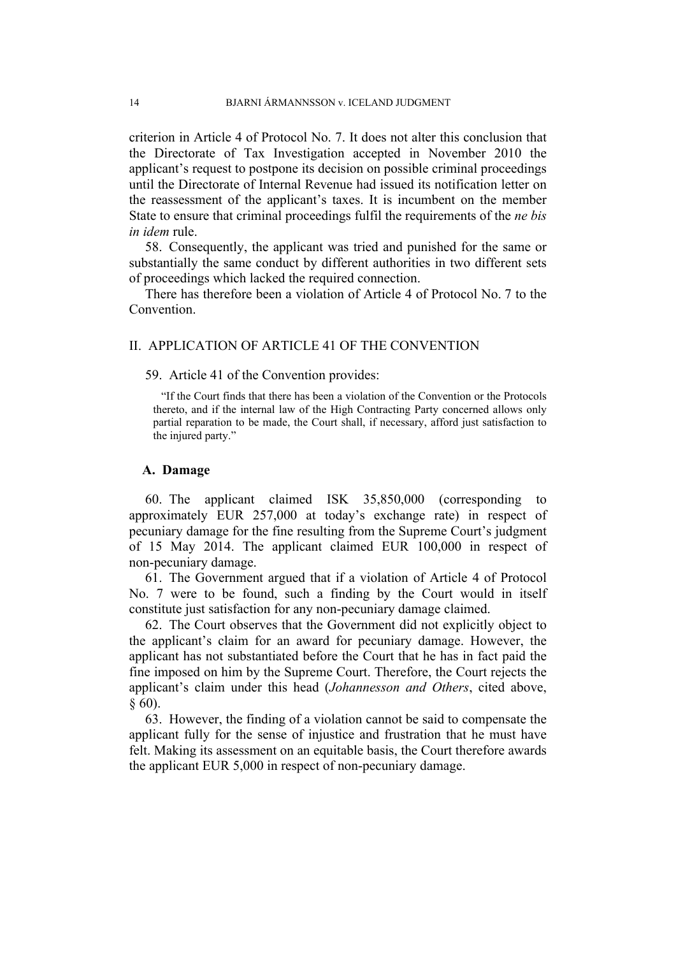criterion in Article 4 of Protocol No. 7. It does not alter this conclusion that the Directorate of Tax Investigation accepted in November 2010 the applicant's request to postpone its decision on possible criminal proceedings until the Directorate of Internal Revenue had issued its notification letter on the reassessment of the applicant's taxes. It is incumbent on the member State to ensure that criminal proceedings fulfil the requirements of the *ne bis in idem* rule.

58. Consequently, the applicant was tried and punished for the same or substantially the same conduct by different authorities in two different sets of proceedings which lacked the required connection.

There has therefore been a violation of Article 4 of Protocol No. 7 to the **Convention** 

## II. APPLICATION OF ARTICLE 41 OF THE CONVENTION

#### 59. Article 41 of the Convention provides:

"If the Court finds that there has been a violation of the Convention or the Protocols thereto, and if the internal law of the High Contracting Party concerned allows only partial reparation to be made, the Court shall, if necessary, afford just satisfaction to the injured party."

#### **A. Damage**

60. The applicant claimed ISK 35,850,000 (corresponding to approximately EUR 257,000 at today's exchange rate) in respect of pecuniary damage for the fine resulting from the Supreme Court's judgment of 15 May 2014. The applicant claimed EUR 100,000 in respect of non-pecuniary damage.

61. The Government argued that if a violation of Article 4 of Protocol No. 7 were to be found, such a finding by the Court would in itself constitute just satisfaction for any non-pecuniary damage claimed.

62. The Court observes that the Government did not explicitly object to the applicant's claim for an award for pecuniary damage. However, the applicant has not substantiated before the Court that he has in fact paid the fine imposed on him by the Supreme Court. Therefore, the Court rejects the applicant's claim under this head (*Johannesson and Others*, cited above, § 60).

63. However, the finding of a violation cannot be said to compensate the applicant fully for the sense of injustice and frustration that he must have felt. Making its assessment on an equitable basis, the Court therefore awards the applicant EUR 5,000 in respect of non-pecuniary damage.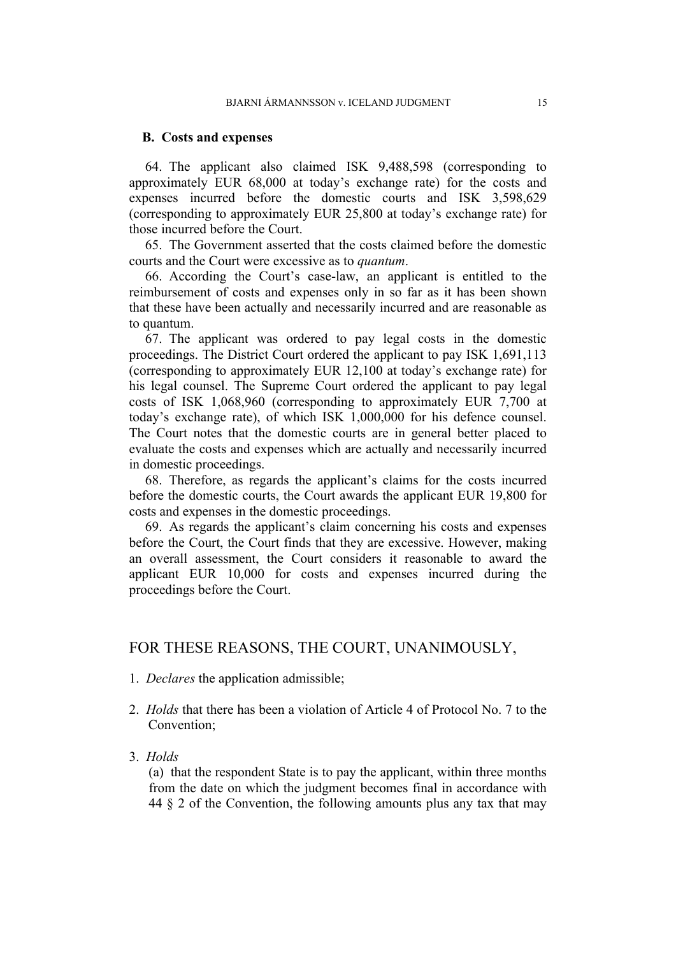#### **B. Costs and expenses**

64. The applicant also claimed ISK 9,488,598 (corresponding to approximately EUR 68,000 at today's exchange rate) for the costs and expenses incurred before the domestic courts and ISK 3,598,629 (corresponding to approximately EUR 25,800 at today's exchange rate) for those incurred before the Court.

65. The Government asserted that the costs claimed before the domestic courts and the Court were excessive as to *quantum*.

66. According the Court's case-law, an applicant is entitled to the reimbursement of costs and expenses only in so far as it has been shown that these have been actually and necessarily incurred and are reasonable as to quantum.

67. The applicant was ordered to pay legal costs in the domestic proceedings. The District Court ordered the applicant to pay ISK 1,691,113 (corresponding to approximately EUR 12,100 at today's exchange rate) for his legal counsel. The Supreme Court ordered the applicant to pay legal costs of ISK 1,068,960 (corresponding to approximately EUR 7,700 at today's exchange rate), of which ISK 1,000,000 for his defence counsel. The Court notes that the domestic courts are in general better placed to evaluate the costs and expenses which are actually and necessarily incurred in domestic proceedings.

68. Therefore, as regards the applicant's claims for the costs incurred before the domestic courts, the Court awards the applicant EUR 19,800 for costs and expenses in the domestic proceedings.

69. As regards the applicant's claim concerning his costs and expenses before the Court, the Court finds that they are excessive. However, making an overall assessment, the Court considers it reasonable to award the applicant EUR 10,000 for costs and expenses incurred during the proceedings before the Court.

## FOR THESE REASONS, THE COURT, UNANIMOUSLY,

- 1. *Declares* the application admissible;
- 2. *Holds* that there has been a violation of Article 4 of Protocol No. 7 to the Convention;
- 3. *Holds*

(a) that the respondent State is to pay the applicant, within three months from the date on which the judgment becomes final in accordance with 44 § 2 of the Convention, the following amounts plus any tax that may